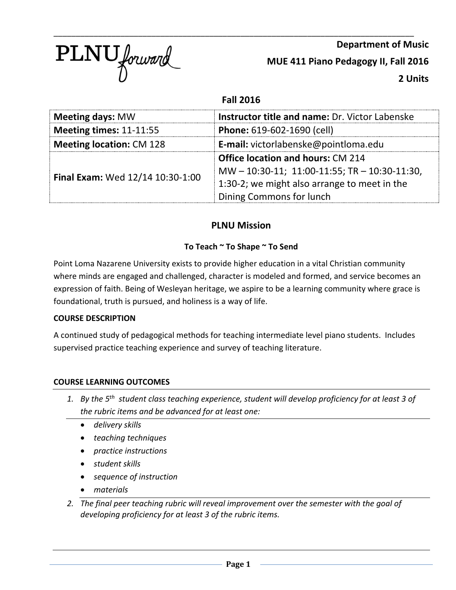

**Department of Music MUE 411 Piano Pedagogy II, Fall 2016 2 Units**

# **Fall 2016**

| <b>Meeting days: MW</b>          | Instructor title and name: Dr. Victor Labenske      |  |
|----------------------------------|-----------------------------------------------------|--|
| Meeting times: $11-11:55$        | Phone: 619-602-1690 (cell)                          |  |
| <b>Meeting location: CM 128</b>  | E-mail: victorlabenske@pointloma.edu                |  |
| Final Exam: Wed 12/14 10:30-1:00 | <b>Office location and hours: CM 214</b>            |  |
|                                  | $MW - 10:30-11$ ; 11:00-11:55; TR $- 10:30-11:30$ , |  |
|                                  | 1:30-2; we might also arrange to meet in the        |  |
|                                  | Dining Commons for lunch                            |  |

# **PLNU Mission**

# **To Teach ~ To Shape ~ To Send**

Point Loma Nazarene University exists to provide higher education in a vital Christian community where minds are engaged and challenged, character is modeled and formed, and service becomes an expression of faith. Being of Wesleyan heritage, we aspire to be a learning community where grace is foundational, truth is pursued, and holiness is a way of life.

# **COURSE DESCRIPTION**

A continued study of pedagogical methods for teaching intermediate level piano students. Includes supervised practice teaching experience and survey of teaching literature.

# **COURSE LEARNING OUTCOMES**

- *1. By the 5th student class teaching experience, student will develop proficiency for at least 3 of the rubric items and be advanced for at least one:*
	- *delivery skills*
	- *teaching techniques*
	- *practice instructions*
	- *student skills*
	- *sequence of instruction*
	- *materials*
- *2. The final peer teaching rubric will reveal improvement over the semester with the goal of developing proficiency for at least 3 of the rubric items.*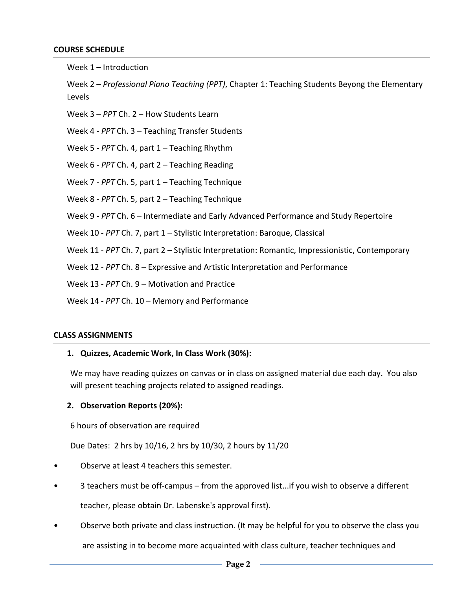#### **COURSE SCHEDULE**

Week 1 – Introduction

Week 2 – *Professional Piano Teaching (PPT)*, Chapter 1: Teaching Students Beyong the Elementary Levels

- Week 3 *PPT* Ch. 2 How Students Learn
- Week 4 *PPT* Ch. 3 Teaching Transfer Students
- Week 5 *PPT* Ch. 4, part 1 Teaching Rhythm
- Week 6 *PPT* Ch. 4, part 2 Teaching Reading
- Week 7 *PPT* Ch. 5, part 1 Teaching Technique
- Week 8 *PPT* Ch. 5, part 2 Teaching Technique
- Week 9 *PPT* Ch. 6 Intermediate and Early Advanced Performance and Study Repertoire
- Week 10 *PPT* Ch. 7, part 1 Stylistic Interpretation: Baroque, Classical
- Week 11 *PPT* Ch. 7, part 2 Stylistic Interpretation: Romantic, Impressionistic, Contemporary
- Week 12 *PPT* Ch. 8 Expressive and Artistic Interpretation and Performance
- Week 13 *PPT* Ch. 9 Motivation and Practice
- Week 14 *PPT* Ch. 10 Memory and Performance

#### **CLASS ASSIGNMENTS**

#### **1. Quizzes, Academic Work, In Class Work (30%):**

We may have reading quizzes on canvas or in class on assigned material due each day. You also will present teaching projects related to assigned readings.

#### **2. Observation Reports (20%):**

6 hours of observation are required

Due Dates: 2 hrs by 10/16, 2 hrs by 10/30, 2 hours by 11/20

- Observe at least 4 teachers this semester.
- 3 teachers must be off-campus from the approved list...if you wish to observe a different

teacher, please obtain Dr. Labenske's approval first).

• Observe both private and class instruction. (It may be helpful for you to observe the class you

are assisting in to become more acquainted with class culture, teacher techniques and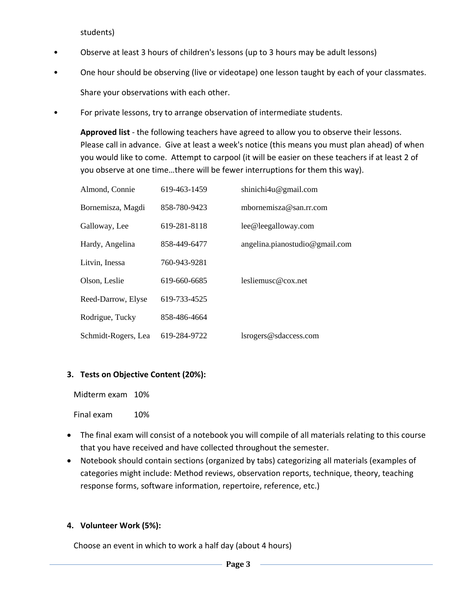students)

- Observe at least 3 hours of children's lessons (up to 3 hours may be adult lessons)
- One hour should be observing (live or videotape) one lesson taught by each of your classmates. Share your observations with each other.
- For private lessons, try to arrange observation of intermediate students.

**Approved list** - the following teachers have agreed to allow you to observe their lessons. Please call in advance. Give at least a week's notice (this means you must plan ahead) of when you would like to come. Attempt to carpool (it will be easier on these teachers if at least 2 of you observe at one time…there will be fewer interruptions for them this way).

| Almond, Connie      | 619-463-1459 | shinichi4u@gmail.com           |
|---------------------|--------------|--------------------------------|
| Bornemisza, Magdi   | 858-780-9423 | mbornemisza@san.rr.com         |
| Galloway, Lee       | 619-281-8118 | lee@leegalloway.com            |
| Hardy, Angelina     | 858-449-6477 | angelina.pianostudio@gmail.com |
| Litvin, Inessa      | 760-943-9281 |                                |
| Olson, Leslie       | 619-660-6685 | lesliemusc@cox.net             |
| Reed-Darrow, Elyse  | 619-733-4525 |                                |
| Rodrigue, Tucky     | 858-486-4664 |                                |
| Schmidt-Rogers, Lea | 619-284-9722 | lsrogers@sdaccess.com          |

# **3. Tests on Objective Content (20%):**

| Midterm exam | 10% |
|--------------|-----|
|              |     |

Final exam 10%

- The final exam will consist of a notebook you will compile of all materials relating to this course that you have received and have collected throughout the semester.
- Notebook should contain sections (organized by tabs) categorizing all materials (examples of categories might include: Method reviews, observation reports, technique, theory, teaching response forms, software information, repertoire, reference, etc.)

#### **4. Volunteer Work (5%):**

Choose an event in which to work a half day (about 4 hours)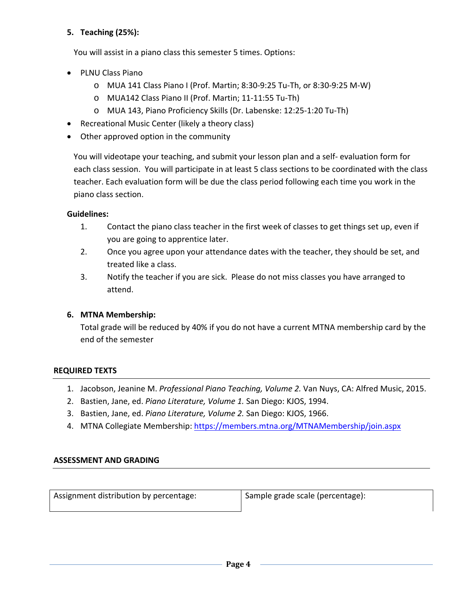# **5. Teaching (25%):**

You will assist in a piano class this semester 5 times. Options:

- PLNU Class Piano
	- o MUA 141 Class Piano I (Prof. Martin; 8:30-9:25 Tu-Th, or 8:30-9:25 M-W)
	- o MUA142 Class Piano II (Prof. Martin; 11-11:55 Tu-Th)
	- o MUA 143, Piano Proficiency Skills (Dr. Labenske: 12:25-1:20 Tu-Th)
- Recreational Music Center (likely a theory class)
- Other approved option in the community

You will videotape your teaching, and submit your lesson plan and a self- evaluation form for each class session. You will participate in at least 5 class sections to be coordinated with the class teacher. Each evaluation form will be due the class period following each time you work in the piano class section.

### **Guidelines:**

- 1. Contact the piano class teacher in the first week of classes to get things set up, even if you are going to apprentice later.
- 2. Once you agree upon your attendance dates with the teacher, they should be set, and treated like a class.
- 3. Notify the teacher if you are sick. Please do not miss classes you have arranged to attend.

# **6. MTNA Membership:**

Total grade will be reduced by 40% if you do not have a current MTNA membership card by the end of the semester

#### **REQUIRED TEXTS**

- 1. Jacobson, Jeanine M. *Professional Piano Teaching, Volume 2.* Van Nuys, CA: Alfred Music, 2015.
- 2. Bastien, Jane, ed. *Piano Literature, Volume 1.* San Diego: KJOS, 1994.
- 3. Bastien, Jane, ed. *Piano Literature, Volume 2.* San Diego: KJOS, 1966.
- 4. MTNA Collegiate Membership:<https://members.mtna.org/MTNAMembership/join.aspx>

# **ASSESSMENT AND GRADING**

Assignment distribution by percentage: Sample grade scale (percentage):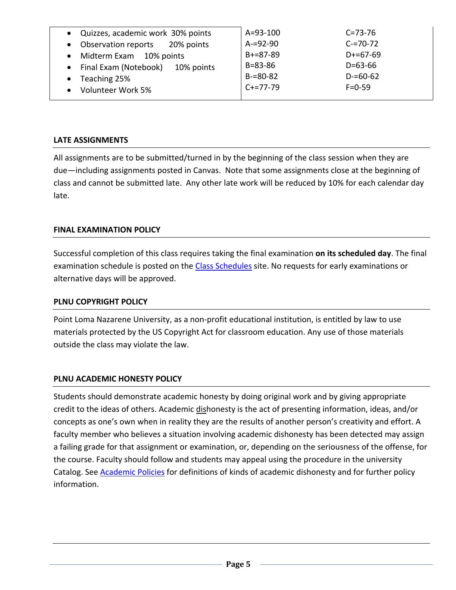| • Quizzes, academic work 30% points              | $A = 93 - 100$ | $C = 73 - 76$ |
|--------------------------------------------------|----------------|---------------|
| Observation reports 20% points<br>$\bullet$      | $A = 92 - 90$  | $C = 70 - 72$ |
| Midterm Exam 10% points<br>$\bullet$             | $B+=87-89$     | $D+ = 67-69$  |
| Final Exam (Notebook)<br>10% points<br>$\bullet$ | $B = 83 - 86$  | $D = 63 - 66$ |
| Teaching 25%<br>$\bullet$                        | $B = 80 - 82$  | $D = 60 - 62$ |
| Volunteer Work 5%                                | $C+=77-79$     | $F = 0 - 59$  |

### **LATE ASSIGNMENTS**

All assignments are to be submitted/turned in by the beginning of the class session when they are due—including assignments posted in Canvas. Note that some assignments close at the beginning of class and cannot be submitted late. Any other late work will be reduced by 10% for each calendar day late.

### **FINAL EXAMINATION POLICY**

Successful completion of this class requires taking the final examination **on its scheduled day**. The final examination schedule is posted on the [Class Schedules](http://www.pointloma.edu/experience/academics/class-schedules) site. No requests for early examinations or alternative days will be approved.

#### **PLNU COPYRIGHT POLICY**

Point Loma Nazarene University, as a non-profit educational institution, is entitled by law to use materials protected by the US Copyright Act for classroom education. Any use of those materials outside the class may violate the law.

# **PLNU ACADEMIC HONESTY POLICY**

Students should demonstrate academic honesty by doing original work and by giving appropriate credit to the ideas of others. Academic dishonesty is the act of presenting information, ideas, and/or concepts as one's own when in reality they are the results of another person's creativity and effort. A faculty member who believes a situation involving academic dishonesty has been detected may assign a failing grade for that assignment or examination, or, depending on the seriousness of the offense, for the course. Faculty should follow and students may appeal using the procedure in the university Catalog. See [Academic Policies](http://catalog.pointloma.edu/content.php?catoid=18&navoid=1278) for definitions of kinds of academic dishonesty and for further policy information.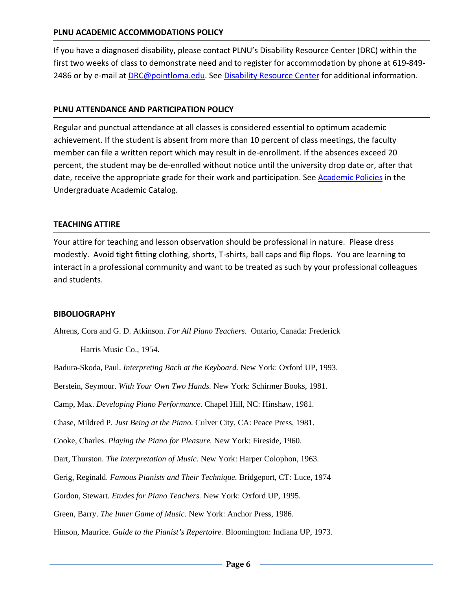#### **PLNU ACADEMIC ACCOMMODATIONS POLICY**

If you have a diagnosed disability, please contact PLNU's Disability Resource Center (DRC) within the first two weeks of class to demonstrate need and to register for accommodation by phone at 619-849- 2486 or by e-mail at [DRC@pointloma.edu.](mailto:DRC@pointloma.edu) See [Disability Resource Center](http://www.pointloma.edu/experience/offices/administrative-offices/academic-advising-office/disability-resource-center) for additional information.

#### **PLNU ATTENDANCE AND PARTICIPATION POLICY**

Regular and punctual attendance at all classes is considered essential to optimum academic achievement. If the student is absent from more than 10 percent of class meetings, the faculty member can file a written report which may result in de-enrollment. If the absences exceed 20 percent, the student may be de-enrolled without notice until the university drop date or, after that date, receive the appropriate grade for their work and participation. See **Academic Policies** in the Undergraduate Academic Catalog.

#### **TEACHING ATTIRE**

Your attire for teaching and lesson observation should be professional in nature. Please dress modestly. Avoid tight fitting clothing, shorts, T-shirts, ball caps and flip flops. You are learning to interact in a professional community and want to be treated as such by your professional colleagues and students.

#### **BIBOLIOGRAPHY**

Ahrens, Cora and G. D. Atkinson. *For All Piano Teachers.* Ontario, Canada: Frederick

Harris Music Co., 1954.

Badura-Skoda, Paul. *Interpreting Bach at the Keyboard.* New York: Oxford UP, 1993.

Berstein, Seymour. *With Your Own Two Hands.* New York: Schirmer Books, 1981.

Camp, Max. *Developing Piano Performance.* Chapel Hill, NC: Hinshaw, 1981.

Chase, Mildred P. *Just Being at the Piano.* Culver City, CA: Peace Press, 1981.

Cooke, Charles. *Playing the Piano for Pleasure.* New York: Fireside, 1960.

Dart, Thurston. *The Interpretation of Music.* New York: Harper Colophon, 1963.

Gerig, Reginald. *Famous Pianists and Their Technique.* Bridgeport, CT*:* Luce, 1974

Gordon, Stewart. *Etudes for Piano Teachers.* New York: Oxford UP, 1995.

Green, Barry. *The Inner Game of Music.* New York: Anchor Press, 1986.

Hinson, Maurice. *Guide to the Pianist's Repertoire.* Bloomington: Indiana UP, 1973.